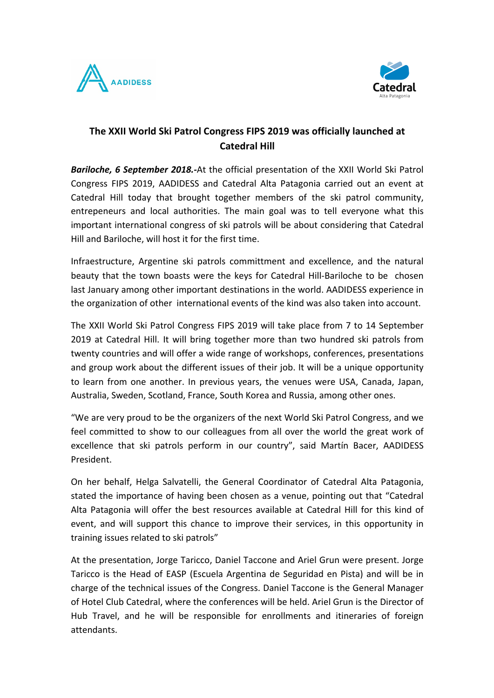



## **The XXII World Ski Patrol Congress FIPS 2019 was officially launched at Catedral Hill**

**Bariloche, 6 September 2018.-**At the official presentation of the XXII World Ski Patrol Congress FIPS 2019, AADIDESS and Catedral Alta Patagonia carried out an event at Catedral Hill today that brought together members of the ski patrol community, entrepeneurs and local authorities. The main goal was to tell everyone what this important international congress of ski patrols will be about considering that Catedral Hill and Bariloche, will host it for the first time.

Infraestructure, Argentine ski patrols committment and excellence, and the natural beauty that the town boasts were the keys for Catedral Hill-Bariloche to be chosen last January among other important destinations in the world. AADIDESS experience in the organization of other international events of the kind was also taken into account.

The XXII World Ski Patrol Congress FIPS 2019 will take place from 7 to 14 September 2019 at Catedral Hill. It will bring together more than two hundred ski patrols from twenty countries and will offer a wide range of workshops, conferences, presentations and group work about the different issues of their job. It will be a unique opportunity to learn from one another. In previous years, the venues were USA, Canada, Japan, Australia, Sweden, Scotland, France, South Korea and Russia, among other ones.

"We are very proud to be the organizers of the next World Ski Patrol Congress, and we feel committed to show to our colleagues from all over the world the great work of excellence that ski patrols perform in our country", said Martín Bacer, AADIDESS President.

On her behalf, Helga Salvatelli, the General Coordinator of Catedral Alta Patagonia, stated the importance of having been chosen as a venue, pointing out that "Catedral Alta Patagonia will offer the best resources available at Catedral Hill for this kind of event, and will support this chance to improve their services, in this opportunity in training issues related to ski patrols"

At the presentation, Jorge Taricco, Daniel Taccone and Ariel Grun were present. Jorge Taricco is the Head of EASP (Escuela Argentina de Seguridad en Pista) and will be in charge of the technical issues of the Congress. Daniel Taccone is the General Manager of Hotel Club Catedral, where the conferences will be held. Ariel Grun is the Director of Hub Travel, and he will be responsible for enrollments and itineraries of foreign attendants.